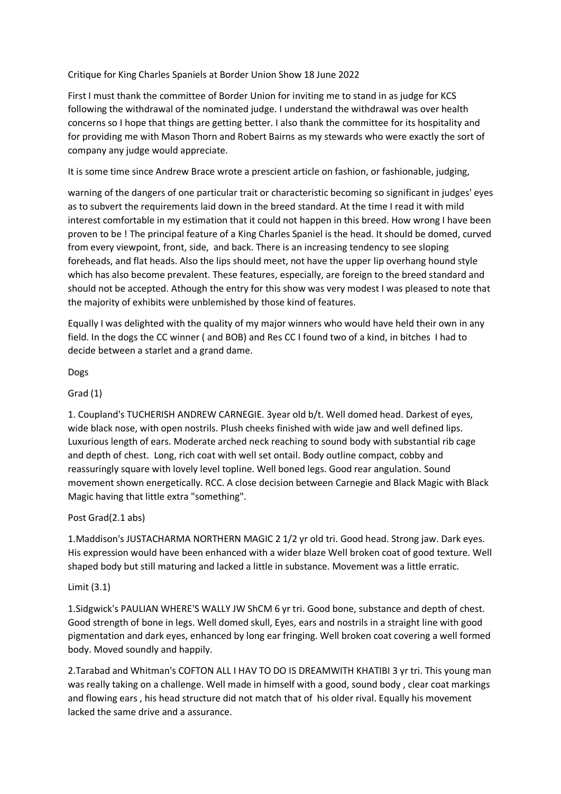Critique for King Charles Spaniels at Border Union Show 18 June 2022

First I must thank the committee of Border Union for inviting me to stand in as judge for KCS following the withdrawal of the nominated judge. I understand the withdrawal was over health concerns so I hope that things are getting better. I also thank the committee for its hospitality and for providing me with Mason Thorn and Robert Bairns as my stewards who were exactly the sort of company any judge would appreciate.

It is some time since Andrew Brace wrote a prescient article on fashion, or fashionable, judging,

warning of the dangers of one particular trait or characteristic becoming so significant in judges' eyes as to subvert the requirements laid down in the breed standard. At the time I read it with mild interest comfortable in my estimation that it could not happen in this breed. How wrong I have been proven to be ! The principal feature of a King Charles Spaniel is the head. It should be domed, curved from every viewpoint, front, side, and back. There is an increasing tendency to see sloping foreheads, and flat heads. Also the lips should meet, not have the upper lip overhang hound style which has also become prevalent. These features, especially, are foreign to the breed standard and should not be accepted. Athough the entry for this show was very modest I was pleased to note that the majority of exhibits were unblemished by those kind of features.

Equally I was delighted with the quality of my major winners who would have held their own in any field. In the dogs the CC winner ( and BOB) and Res CC I found two of a kind, in bitches I had to decide between a starlet and a grand dame.

Dogs

# Grad (1)

1. Coupland's TUCHERISH ANDREW CARNEGIE. 3year old b/t. Well domed head. Darkest of eyes, wide black nose, with open nostrils. Plush cheeks finished with wide jaw and well defined lips. Luxurious length of ears. Moderate arched neck reaching to sound body with substantial rib cage and depth of chest. Long, rich coat with well set ontail. Body outline compact, cobby and reassuringly square with lovely level topline. Well boned legs. Good rear angulation. Sound movement shown energetically. RCC. A close decision between Carnegie and Black Magic with Black Magic having that little extra "something".

### Post Grad(2.1 abs)

1.Maddison's JUSTACHARMA NORTHERN MAGIC 2 1/2 yr old tri. Good head. Strong jaw. Dark eyes. His expression would have been enhanced with a wider blaze Well broken coat of good texture. Well shaped body but still maturing and lacked a little in substance. Movement was a little erratic.

### Limit (3.1)

1.Sidgwick's PAULIAN WHERE'S WALLY JW ShCM 6 yr tri. Good bone, substance and depth of chest. Good strength of bone in legs. Well domed skull, Eyes, ears and nostrils in a straight line with good pigmentation and dark eyes, enhanced by long ear fringing. Well broken coat covering a well formed body. Moved soundly and happily.

2.Tarabad and Whitman's COFTON ALL I HAV TO DO IS DREAMWITH KHATIBI 3 yr tri. This young man was really taking on a challenge. Well made in himself with a good, sound body , clear coat markings and flowing ears, his head structure did not match that of his older rival. Equally his movement lacked the same drive and a assurance.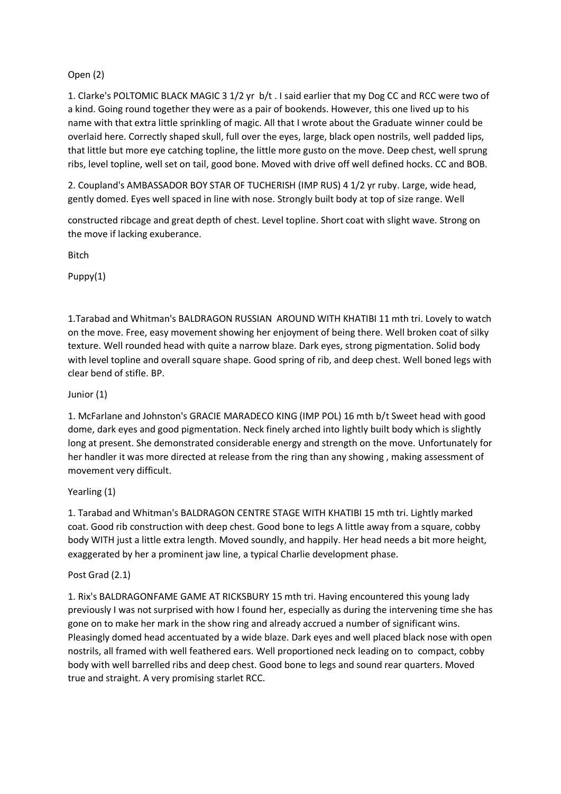# Open (2)

1. Clarke's POLTOMIC BLACK MAGIC 3 1/2 yr b/t . I said earlier that my Dog CC and RCC were two of a kind. Going round together they were as a pair of bookends. However, this one lived up to his name with that extra little sprinkling of magic. All that I wrote about the Graduate winner could be overlaid here. Correctly shaped skull, full over the eyes, large, black open nostrils, well padded lips, that little but more eye catching topline, the little more gusto on the move. Deep chest, well sprung ribs, level topline, well set on tail, good bone. Moved with drive off well defined hocks. CC and BOB.

2. Coupland's AMBASSADOR BOY STAR OF TUCHERISH (IMP RUS) 4 1/2 yr ruby. Large, wide head, gently domed. Eyes well spaced in line with nose. Strongly built body at top of size range. Well

constructed ribcage and great depth of chest. Level topline. Short coat with slight wave. Strong on the move if lacking exuberance.

**Ritch** 

Puppy(1)

1.Tarabad and Whitman's BALDRAGON RUSSIAN AROUND WITH KHATIBI 11 mth tri. Lovely to watch on the move. Free, easy movement showing her enjoyment of being there. Well broken coat of silky texture. Well rounded head with quite a narrow blaze. Dark eyes, strong pigmentation. Solid body with level topline and overall square shape. Good spring of rib, and deep chest. Well boned legs with clear bend of stifle. BP.

## Junior (1)

1. McFarlane and Johnston's GRACIE MARADECO KING (IMP POL) 16 mth b/t Sweet head with good dome, dark eyes and good pigmentation. Neck finely arched into lightly built body which is slightly long at present. She demonstrated considerable energy and strength on the move. Unfortunately for her handler it was more directed at release from the ring than any showing , making assessment of movement very difficult.

# Yearling (1)

1. Tarabad and Whitman's BALDRAGON CENTRE STAGE WITH KHATIBI 15 mth tri. Lightly marked coat. Good rib construction with deep chest. Good bone to legs A little away from a square, cobby body WITH just a little extra length. Moved soundly, and happily. Her head needs a bit more height, exaggerated by her a prominent jaw line, a typical Charlie development phase.

### Post Grad (2.1)

1. Rix's BALDRAGONFAME GAME AT RICKSBURY 15 mth tri. Having encountered this young lady previously I was not surprised with how I found her, especially as during the intervening time she has gone on to make her mark in the show ring and already accrued a number of significant wins. Pleasingly domed head accentuated by a wide blaze. Dark eyes and well placed black nose with open nostrils, all framed with well feathered ears. Well proportioned neck leading on to compact, cobby body with well barrelled ribs and deep chest. Good bone to legs and sound rear quarters. Moved true and straight. A very promising starlet RCC.